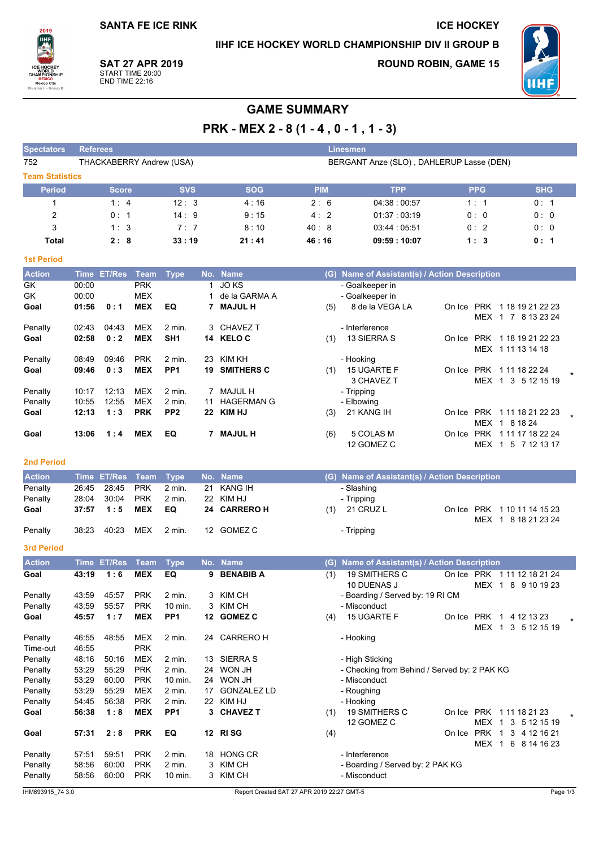## IIHF ICE HOCKEY WORLD CHAMPIONSHIP DIV II GROUP B

**ICE HOCKEY** 

2019 **ULL TUC**<br>WORL<br>CHAMPIOI **MEXICO**<br>Mexico City

**SAT 27 APR 2019** START TIME 20:00<br>END TIME 22:16

**ROUND ROBIN, GAME 15** 



# **GAME SUMMARY**

PRK - MEX 2 - 8 (1 - 4, 0 - 1, 1 - 3)

| <b>Spectators</b>      | <b>Referees</b><br><b>Linesmen</b> |            |            |            |                                          |            |            |  |  |  |  |
|------------------------|------------------------------------|------------|------------|------------|------------------------------------------|------------|------------|--|--|--|--|
| 752                    | THACKABERRY Andrew (USA)           |            |            |            | BERGANT Anze (SLO), DAHLERUP Lasse (DEN) |            |            |  |  |  |  |
| <b>Team Statistics</b> |                                    |            |            |            |                                          |            |            |  |  |  |  |
| <b>Period</b>          | <b>Score</b>                       | <b>SVS</b> | <b>SOG</b> | <b>PIM</b> | <b>TPP</b>                               | <b>PPG</b> | <b>SHG</b> |  |  |  |  |
|                        | 1:4                                | 12:3       | 4:16       | 2:6        | 04:38:00:57                              | 1:1        | 0:1        |  |  |  |  |
| 2                      | 0:1                                | 14:9       | 9:15       | 4:2        | 01:37:03:19                              | 0:0        | 0:0        |  |  |  |  |
| 3                      | 1:3                                | 7:7        | 8:10       | 40:8       | 03:44:05:51                              | 0:2        | 0:0        |  |  |  |  |
| Total                  | 2:8                                | 33:19      | 21:41      | 46:16      | 09:59:10:07                              | 1:3        | 0:1        |  |  |  |  |

#### **1st Period**

| <b>Action</b> | Time  | <b>ET/Res</b> | Team       | <b>Type</b>       |    | No. Name          | (G) | Name of Assistant(s) / Action Description |        |            |                  |  |
|---------------|-------|---------------|------------|-------------------|----|-------------------|-----|-------------------------------------------|--------|------------|------------------|--|
| GK            | 00:00 |               | <b>PRK</b> |                   |    | JO KS             |     | - Goalkeeper in                           |        |            |                  |  |
| GK            | 00:00 |               | <b>MEX</b> |                   |    | de la GARMA A     |     | - Goalkeeper in                           |        |            |                  |  |
| Goal          | 01:56 | 0:1           | <b>MEX</b> | EQ                |    | <b>MAJUL H</b>    | (5) | 8 de la VEGA LA                           | On Ice | PRK        | 1 18 19 21 22 23 |  |
|               |       |               |            |                   |    |                   |     |                                           |        | MEX        | 1 7 8 13 23 24   |  |
| Penalty       | 02:43 | 04:43         | <b>MEX</b> | $2 \text{ min}$ . |    | 3 CHAVEZ T        |     | - Interference                            |        |            |                  |  |
| Goal          | 02:58 | 0:2           | <b>MEX</b> | SH <sub>1</sub>   |    | 14 KELOC          | (1) | 13 SIERRA S                               | On Ice | PRK        | 1 18 19 21 22 23 |  |
|               |       |               |            |                   |    |                   |     |                                           |        | MEX        | 1 11 13 14 18    |  |
| Penalty       | 08:49 | 09:46         | <b>PRK</b> | $2$ min.          | 23 | KIM KH            |     | - Hooking                                 |        |            |                  |  |
| Goal          | 09:46 | 0:3           | <b>MEX</b> | PP <sub>1</sub>   | 19 | <b>SMITHERS C</b> | (1) | 15 UGARTE F                               | On Ice | <b>PRK</b> | 1 11 18 22 24    |  |
|               |       |               |            |                   |    |                   |     | 3 CHAVEZ T                                |        | MEX        | 1 3 5 12 15 19   |  |
| Penalty       | 10:17 | 12:13         | <b>MEX</b> | $2$ min.          |    | MAJUL H           |     | - Tripping                                |        |            |                  |  |
| Penalty       | 10:55 | 12:55         | <b>MEX</b> | 2 min.            | 11 | <b>HAGERMAN G</b> |     | - Elbowing                                |        |            |                  |  |
| Goal          | 12:13 | 1:3           | <b>PRK</b> | PP <sub>2</sub>   | 22 | <b>KIM HJ</b>     | (3) | 21 KANG IH                                | On Ice | <b>PRK</b> | 1 11 18 21 22 23 |  |
|               |       |               |            |                   |    |                   |     |                                           |        | <b>MEX</b> | 8 18 24          |  |
| Goal          | 13:06 | 1:4           | <b>MEX</b> | EQ                |    | <b>MAJUL H</b>    | (6) | 5 COLAS M                                 | On Ice | <b>PRK</b> | 1 11 17 18 22 24 |  |
|               |       |               |            |                   |    |                   |     | 12 GOMEZ C                                |        | <b>MEX</b> | 5 7 12 13 17     |  |

#### 2nd Period

| <b>Action</b> |       |           |     | Time ET/Res Team Type No. Name |              |     | (G) Name of Assistant(s) / Action Description |  |                             |
|---------------|-------|-----------|-----|--------------------------------|--------------|-----|-----------------------------------------------|--|-----------------------------|
| Penalty       |       |           |     | 2 min.                         | 21 KANG IH   |     | - Slashing                                    |  |                             |
| Penalty       | 28:04 | 30.04     | PRK | $2 \text{ min}$ .              | 22 KIM HJ    |     | - Tripping                                    |  |                             |
| Goal          |       | 37:57 1:5 | MEX | EQ.                            | 24 CARRERO H | (1) | 21 CRUZ L                                     |  | On Ice PRK 1 10 11 14 15 23 |
|               |       |           |     |                                |              |     |                                               |  | MEX 1 8 18 21 23 24         |
| Penalty       | 38:23 | 40.23     | MEX | 2 min.                         | 12 GOMEZ C   |     | - Tripping                                    |  |                             |

#### 3rd Period

| <b>Action</b>       | <b>Time</b>    | <b>ET/Res</b> | <b>Team</b>              | <b>Type</b>       |    | No. Name           | Name of Assistant(s) / Action Description<br>(G)                                                                             |
|---------------------|----------------|---------------|--------------------------|-------------------|----|--------------------|------------------------------------------------------------------------------------------------------------------------------|
| Goal                | 43:19          | 1:6           | <b>MEX</b>               | EQ                | 9  | <b>BENABIB A</b>   | <b>19 SMITHERS C</b><br>(1)<br>On Ice<br><b>PRK</b><br>1 11 12 18 21 24<br>10 DUENAS J<br><b>MEX</b><br>8<br>9 10 19 23<br>1 |
| Penalty             | 43:59          | 45:57         | <b>PRK</b>               | $2$ min.          | 3  | KIM CH             | - Boarding / Served by: 19 RI CM                                                                                             |
| Penalty             | 43:59          | 55.57         | <b>PRK</b>               | 10 min.           | 3  | KIM CH             | - Misconduct                                                                                                                 |
| Goal                | 45:57          | 1:7           | <b>MEX</b>               | PP <sub>1</sub>   | 12 | <b>GOMEZ C</b>     | 15 UGARTE F<br><b>PRK</b><br>(4)<br>4 12 13 23<br>On Ice<br><b>MEX</b><br>5 12 15 19<br>3                                    |
| Penalty<br>Time-out | 46:55<br>46:55 | 48:55         | <b>MEX</b><br><b>PRK</b> | $2$ min.          | 24 | <b>CARRERO H</b>   | - Hooking                                                                                                                    |
| Penalty             | 48:16          | 50:16         | <b>MEX</b>               | 2 min.            | 13 | <b>SIERRA S</b>    | - High Sticking                                                                                                              |
| Penalty             | 53:29          | 55:29         | <b>PRK</b>               | $2$ min.          | 24 | WON JH             | - Checking from Behind / Served by: 2 PAK KG                                                                                 |
| Penalty             | 53:29          | 60:00         | <b>PRK</b>               | 10 min.           | 24 | WON JH             | - Misconduct                                                                                                                 |
| Penalty             | 53:29          | 55:29         | <b>MEX</b>               | $2$ min.          | 17 | <b>GONZALEZ LD</b> | - Roughing                                                                                                                   |
| Penalty             | 54:45          | 56:38         | <b>PRK</b>               | 2 min.            | 22 | KIM HJ             | - Hooking                                                                                                                    |
| Goal                | 56:38          | 1:8           | <b>MEX</b>               | PP <sub>1</sub>   | 3. | <b>CHAVEZ T</b>    | 19 SMITHERS C<br>(1)<br><b>PRK</b><br>1 11 18 21 23<br>On Ice<br>12 GOMEZ C<br><b>MEX</b><br>5 12 15 19<br>3                 |
| Goal                | 57:31          | 2:8           | <b>PRK</b>               | EQ                | 12 | <b>RISG</b>        | <b>PRK</b><br>4 12 16 21<br>(4)<br>3<br>On Ice<br><b>MEX</b><br>6<br>8 14 16 23                                              |
| Penalty             | 57:51          | 59.51         | <b>PRK</b>               | 2 min.            | 18 | <b>HONG CR</b>     | - Interference                                                                                                               |
| Penalty             | 58:56          | 60:00         | <b>PRK</b>               | $2$ min.          | 3  | KIM CH             | - Boarding / Served by: 2 PAK KG                                                                                             |
| Penalty             | 58:56          | 60.00         | <b>PRK</b>               | $10 \text{ min.}$ | 3  | KIM CH             | - Misconduct                                                                                                                 |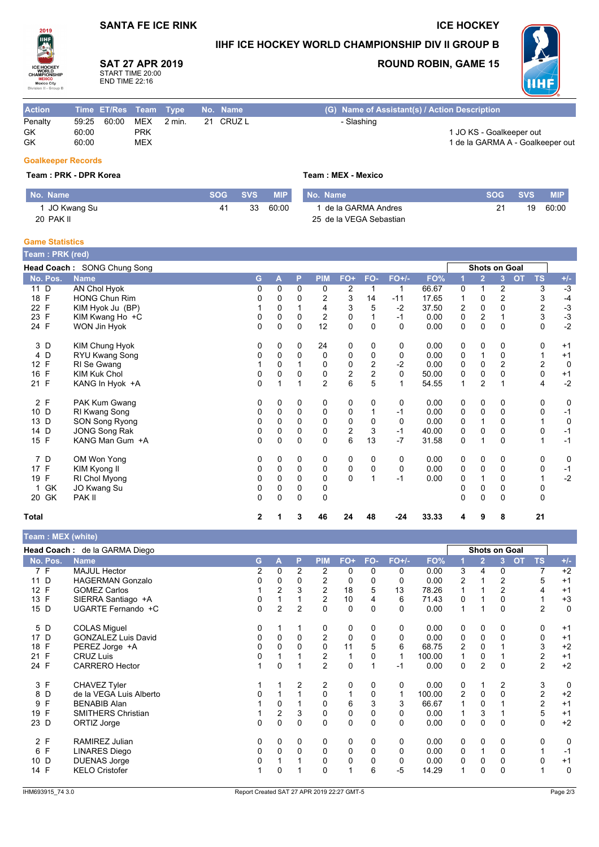## **SANTA FE ICE RINK**

## IIHF ICE HOCKEY WORLD CHAMPIONSHIP DIV II GROUP B



## **SAT 27 APR 2019**

START TIME 20:00<br>END TIME 22:16

## **ROUND ROBIN, GAME 15**

**ICE HOCKEY** 



| <b>Action</b> | Time ET/Res Team Type No. Name |            |                   |           | (G) Name of Assistant(s) / Action Description |
|---------------|--------------------------------|------------|-------------------|-----------|-----------------------------------------------|
| Penalty       | 60:00<br>59.25                 | MEX        | $2 \text{ min}$ . | 21 CRUZ L | - Slashing                                    |
| GK            | 60:00                          | PRK        |                   |           | 1 JO KS - Goalkeeper out                      |
| GK            | 60:00                          | <b>MEX</b> |                   |           | 1 de la GARMA A - Goalkeeper out              |
|               |                                |            |                   |           |                                               |

#### **Goalkeeper Records**

#### Team: PRK - DPR Korea

| No. Name      |    | <b>SOG SVS</b> ' | $\blacksquare$ MIP |
|---------------|----|------------------|--------------------|
| 1 JO Kwang Su | 41 |                  | 33 60:00           |
| 20 PAK II     |    |                  |                    |

## Team: MEX - Mexico

| No. Name                |    | SOG SVS | <b>MIP</b> |
|-------------------------|----|---------|------------|
| 1 de la GARMA Andres    | 21 |         | 19 60:00   |
| 25 de la VEGA Sebastian |    |         |            |

#### **Game Statistics** ц. **College**

| <b>Team: PRK (red)</b> |                             |              |          |          |                |                |                |             |       |             |                      |                |           |           |       |
|------------------------|-----------------------------|--------------|----------|----------|----------------|----------------|----------------|-------------|-------|-------------|----------------------|----------------|-----------|-----------|-------|
|                        | Head Coach: SONG Chung Song |              |          |          |                |                |                |             |       |             | <b>Shots on Goal</b> |                |           |           |       |
| No. Pos.               | <b>Name</b>                 | G            | A        | P        | <b>PIM</b>     | FO+            | FO-            | $FO+/-$     | FO%   |             | 2                    | 3              | <b>OT</b> | <b>TS</b> | $+/-$ |
| 11 D                   | <b>AN Chol Hyok</b>         | 0            | 0        | $\Omega$ | 0              | $\overline{2}$ |                | 1           | 66.67 | 0           | 1                    | 2              |           | 3         | $-3$  |
| 18 F                   | <b>HONG Chun Rim</b>        | 0            | 0        | 0        | 2              | 3              | 14             | -11         | 17.65 | 1           | 0                    | $\overline{2}$ |           | 3         | $-4$  |
| 22 F                   | KIM Hyok Ju (BP)            |              | 0        |          | 4              | 3              | 5              | $-2$        | 37.50 | 2           | 0                    | $\Omega$       |           | 2         | $-3$  |
| 23 F                   | KIM Kwang Ho +C             | 0            | 0        | 0        | $\overline{2}$ | 0              |                | $-1$        | 0.00  | $\pmb{0}$   | $\overline{2}$       |                |           | 3         | $-3$  |
| 24 F                   | WON Jin Hyok                | $\Omega$     | 0        | $\Omega$ | 12             | 0              | $\Omega$       | $\Omega$    | 0.00  | $\mathbf 0$ | 0                    | $\mathbf 0$    |           | $\Omega$  | $-2$  |
| 3 D                    | KIM Chung Hyok              | 0            | 0        | 0        | 24             | 0              | 0              | 0           | 0.00  | 0           | 0                    | 0              |           | 0         | $+1$  |
| 4 D                    | RYU Kwang Song              | 0            | 0        | $\Omega$ | $\mathbf 0$    | 0              | 0              | 0           | 0.00  | 0           |                      | 0              |           |           | $+1$  |
| 12 F                   | RI Se Gwang                 |              | 0        |          | 0              | 0              | 2              | $-2$        | 0.00  | 0           | 0                    | $\overline{2}$ |           | 2         | 0     |
| 16 F                   | <b>KIM Kuk Chol</b>         | 0            | 0        | 0        | $\pmb{0}$      | $\overline{c}$ | $\overline{c}$ | $\mathbf 0$ | 50.00 | 0           | 0                    | $\mathbf 0$    |           | 0         | $+1$  |
| 21 F                   | KANG In Hyok +A             | $\Omega$     |          |          | $\overline{2}$ | 6              | 5              |             | 54.55 | 1           | $\overline{2}$       |                |           | 4         | $-2$  |
| 2 F                    | PAK Kum Gwang               | 0            | 0        | 0        | 0              | 0              | 0              | 0           | 0.00  | 0           | 0                    | 0              |           | 0         | 0     |
| 10 D                   | RI Kwang Song               | 0            | 0        | 0        | $\mathbf 0$    | 0              |                | -1          | 0.00  | 0           | 0                    | 0              |           | 0         | $-1$  |
| 13 D                   | SON Song Ryong              | 0            | 0        | $\Omega$ | $\mathbf 0$    | 0              | 0              | 0           | 0.00  | 0           |                      | 0              |           |           | 0     |
| 14 D                   | JONG Song Rak               | 0            | 0        | 0        | 0              | $\overline{c}$ | 3              | $-1$        | 40.00 | 0           | 0                    | 0              |           | 0         | $-1$  |
| 15 F                   | KANG Man Gum +A             | $\Omega$     | $\Omega$ | $\Omega$ | $\Omega$       | 6              | 13             | $-7$        | 31.58 | 0           |                      | $\Omega$       |           |           | $-1$  |
| 7 D                    | OM Won Yong                 | 0            | 0        | 0        | 0              | 0              | 0              | 0           | 0.00  | 0           | 0                    | 0              |           | 0         | 0     |
| 17 F                   | KIM Kyong II                | 0            | 0        | 0        | $\mathbf 0$    | $\pmb{0}$      | 0              | 0           | 0.00  | 0           | 0                    | 0              |           | 0         | $-1$  |
| 19 F                   | RI Chol Myong               | 0            | 0        | $\Omega$ | $\Omega$       | $\Omega$       |                | $-1$        | 0.00  | 0           |                      | 0              |           |           | $-2$  |
| GK<br>$\mathbf{1}$     | JO Kwang Su                 | 0            | 0        | 0        | 0              |                |                |             |       | 0           | 0                    | 0              |           | 0         |       |
| 20 GK                  | PAK II                      | $\Omega$     | 0        | $\Omega$ | 0              |                |                |             |       | $\Omega$    | $\Omega$             | $\Omega$       |           | 0         |       |
| <b>Total</b>           |                             | $\mathbf{2}$ |          | 3        | 46             | 24             | 48             | $-24$       | 33.33 | 4           | 9                    | 8              |           | 21        |       |

#### Total

|          | leam : MEX (white)            |   |                |          |                |     |     |         |        |          |                      |          |           |                |             |
|----------|-------------------------------|---|----------------|----------|----------------|-----|-----|---------|--------|----------|----------------------|----------|-----------|----------------|-------------|
|          | Head Coach: de la GARMA Diego |   |                |          |                |     |     |         |        |          | <b>Shots on Goal</b> |          |           |                |             |
| No. Pos. | <b>Name</b>                   | G | Α              | P        | <b>PIM</b>     | FO+ | FO- | $FO+/-$ | FO%    |          | $\overline{2}$       | 3        | <b>OT</b> | <b>TS</b>      | $+/-$       |
| 7 F      | <b>MAJUL Hector</b>           | 2 | 0              | 2        | 2              | 0   | 0   | 0       | 0.00   | 3        | 4                    | 0        |           | 7              | $+2$        |
| 11 D     | <b>HAGERMAN Gonzalo</b>       | 0 | 0              | 0        | 2              | 0   | 0   | 0       | 0.00   | 2        |                      | 2        |           | 5              | $+1$        |
| 12 F     | <b>GOMEZ Carlos</b>           |   | $\overline{2}$ | 3        | $\overline{2}$ | 18  | 5   | 13      | 78.26  |          |                      | 2        |           | 4              | $+1$        |
| 13 F     | SIERRA Santiago +A            | 0 |                |          | 2              | 10  |     | 6       | 71.43  | 0        |                      | 0        |           |                | $+3$        |
| 15 D     | UGARTE Fernando +C            | 0 | 2              | 2        | 0              | 0   | 0   | 0       | 0.00   | 1        |                      | 0        |           | 2              | 0           |
| 5 D      | <b>COLAS Miguel</b>           | 0 |                |          | 0              | 0   | 0   | 0       | 0.00   | 0        | 0                    | 0        |           | 0              | $+1$        |
| 17 D     | <b>GONZALEZ Luis David</b>    | 0 | $\Omega$       | $\Omega$ | 2              | 0   | 0   | 0       | 0.00   | 0        | 0                    | 0        |           | 0              | $+1$        |
| 18 F     | PEREZ Jorge +A                | 0 | $\Omega$       | $\Omega$ | 0              | 11  | 5   | 6       | 68.75  | 2        | $\Omega$             |          |           | 3              | $+2$        |
| 21 F     | <b>CRUZ Luis</b>              | 0 |                |          | 2              |     | 0   | 1       | 100.00 |          | 0                    |          |           | 2              | $+1$        |
| 24 F     | <b>CARRERO Hector</b>         |   | $\Omega$       |          | 2              | 0   |     | $-1$    | 0.00   | $\Omega$ | 2                    | $\Omega$ |           | $\overline{2}$ | $+2$        |
| 3 F      | CHAVEZ Tyler                  |   |                | 2        | 2              | 0   | 0   | 0       | 0.00   | 0        |                      | 2        |           | 3              | $\mathbf 0$ |
| 8 D      | de la VEGA Luis Alberto       | 0 |                |          | 0              |     | 0   |         | 100.00 | 2        | 0                    | 0        |           | 2              | $+2$        |
| F<br>9   | <b>BENABIB Alan</b>           |   | 0              |          | 0              | 6   | 3   | 3       | 66.67  |          | 0                    |          |           | 2              | $+1$        |
| 19 F     | <b>SMITHERS Christian</b>     |   | $\overline{2}$ | 3        | 0              | 0   | 0   | 0       | 0.00   |          | 3                    |          |           | 5              | $+1$        |
| 23 D     | ORTIZ Jorge                   | 0 | 0              | 0        | 0              | 0   | 0   | 0       | 0.00   | 0        | 0                    | 0        |           | 0              | $+2$        |
| 2 F      | RAMIREZ Julian                | 0 | 0              | 0        | 0              | 0   | 0   | 0       | 0.00   | 0        | 0                    | 0        |           | 0              | 0           |
| F<br>6   | <b>LINARES Diego</b>          | 0 | 0              | 0        | 0              | 0   | 0   | 0       | 0.00   | 0        |                      | 0        |           |                | $-1$        |
| D<br>10  | <b>DUENAS Jorge</b>           | 0 |                |          | 0              | 0   |     | 0       | 0.00   | 0        | 0                    | 0        |           | $\Omega$       | $+1$        |
| 14 F     | <b>KELO Cristofer</b>         |   | $\mathbf{0}$   |          | $\Omega$       |     | 6   | $-5$    | 14.29  |          | 0                    | 0        |           |                | $\mathbf 0$ |